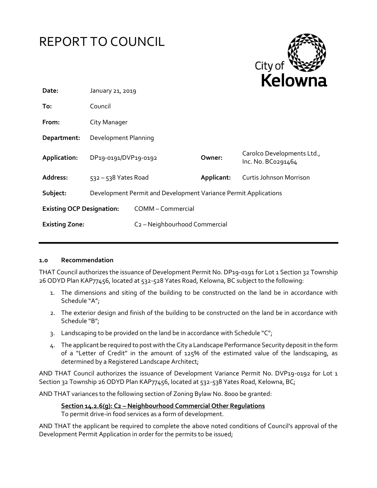



| Date:                            | January 21, 2019                                                |                                           |            |                                                  |
|----------------------------------|-----------------------------------------------------------------|-------------------------------------------|------------|--------------------------------------------------|
| To:                              | Council                                                         |                                           |            |                                                  |
| From:                            | City Manager                                                    |                                           |            |                                                  |
| Department:                      | Development Planning                                            |                                           |            |                                                  |
| Application:                     | DP19-0191/DVP19-0192                                            |                                           | Owner:     | Carolco Developments Ltd.,<br>Inc. No. BC0291464 |
| Address:                         | $532 - 538$ Yates Road                                          |                                           | Applicant: | Curtis Johnson Morrison                          |
| Subject:                         | Development Permit and Development Variance Permit Applications |                                           |            |                                                  |
| <b>Existing OCP Designation:</b> |                                                                 | COMM - Commercial                         |            |                                                  |
| <b>Existing Zone:</b>            |                                                                 | C <sub>2</sub> - Neighbourhood Commercial |            |                                                  |

#### **1.0 Recommendation**

THAT Council authorizes the issuance of Development Permit No. DP19-0191 for Lot 1 Section 32 Township 26 ODYD Plan KAP77456, located at 532-528 Yates Road, Kelowna, BC subject to the following:

- 1. The dimensions and siting of the building to be constructed on the land be in accordance with Schedule "A";
- 2. The exterior design and finish of the building to be constructed on the land be in accordance with Schedule "B";
- 3. Landscaping to be provided on the land be in accordance with Schedule "C";
- 4. The applicant be required to post with the City a Landscape Performance Security deposit in the form of a "Letter of Credit" in the amount of 125% of the estimated value of the landscaping, as determined by a Registered Landscape Architect;

AND THAT Council authorizes the issuance of Development Variance Permit No. DVP19-0192 for Lot 1 Section 32 Township 26 ODYD Plan KAP77456, located at 532-538 Yates Road, Kelowna, BC;

AND THAT variances to the following section of Zoning Bylaw No. 8000 be granted:

#### **Section 14.2.6(g): C2 – Neighbourhood Commercial Other Regulations**

To permit drive-in food services as a form of development.

AND THAT the applicant be required to complete the above noted conditions of Council's approval of the Development Permit Application in order for the permits to be issued;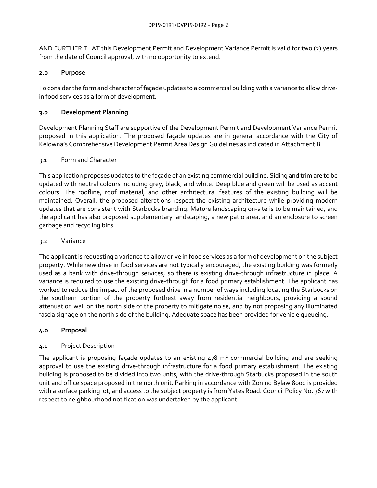AND FURTHER THAT this Development Permit and Development Variance Permit is valid for two (2) years from the date of Council approval, with no opportunity to extend.

### **2.0 Purpose**

To considerthe form and character of façade updates to a commercial building with a variance to allow drivein food services as a form of development.

## **3.0 Development Planning**

Development Planning Staff are supportive of the Development Permit and Development Variance Permit proposed in this application. The proposed façade updates are in general accordance with the City of Kelowna's Comprehensive Development Permit Area Design Guidelines as indicated in Attachment B.

## 3.1 Form and Character

This application proposes updates to the façade of an existing commercial building. Siding and trim are to be updated with neutral colours including grey, black, and white. Deep blue and green will be used as accent colours. The roofline, roof material, and other architectural features of the existing building will be maintained. Overall, the proposed alterations respect the existing architecture while providing modern updates that are consistent with Starbucks branding. Mature landscaping on-site is to be maintained, and the applicant has also proposed supplementary landscaping, a new patio area, and an enclosure to screen garbage and recycling bins.

## 3.2 Variance

The applicant is requesting a variance to allow drive in food services as a form of development on the subject property. While new drive in food services are not typically encouraged, the existing building was formerly used as a bank with drive-through services, so there is existing drive-through infrastructure in place. A variance is required to use the existing drive-through for a food primary establishment. The applicant has worked to reduce the impact of the proposed drive in a number of ways including locating the Starbucks on the southern portion of the property furthest away from residential neighbours, providing a sound attenuation wall on the north side of the property to mitigate noise, and by not proposing any illuminated fascia signage on the north side of the building. Adequate space has been provided for vehicle queueing.

### **4.0 Proposal**

# 4.1 Project Description

The applicant is proposing façade updates to an existing  $478$   $m<sup>2</sup>$  commercial building and are seeking approval to use the existing drive-through infrastructure for a food primary establishment. The existing building is proposed to be divided into two units, with the drive-through Starbucks proposed in the south unit and office space proposed in the north unit. Parking in accordance with Zoning Bylaw 8000 is provided with a surface parking lot, and access to the subject property is from Yates Road. Council Policy No. 367 with respect to neighbourhood notification was undertaken by the applicant.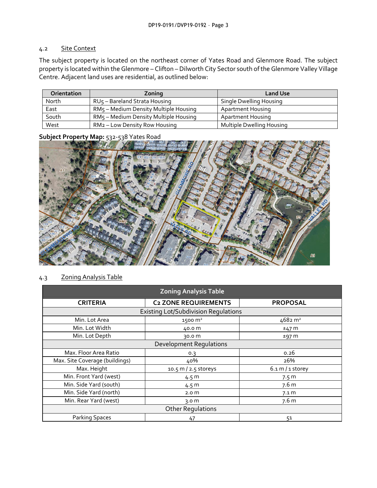## 4.2 Site Context

The subject property is located on the northeast corner of Yates Road and Glenmore Road. The subject property is located within the Glenmore – Clifton – Dilworth City Sector south of the Glenmore Valley Village Centre. Adjacent land uses are residential, as outlined below:

| <b>Orientation</b> | Zoning                                    | <b>Land Use</b>           |
|--------------------|-------------------------------------------|---------------------------|
| North              | RU <sub>5</sub> - Bareland Strata Housing | Single Dwelling Housing   |
| East               | RM5 - Medium Density Multiple Housing     | <b>Apartment Housing</b>  |
| South              | RM5 - Medium Density Multiple Housing     | <b>Apartment Housing</b>  |
| West               | RM2 – Low Density Row Housing             | Multiple Dwelling Housing |

## **Subject Property Map:** 532-538 Yates Road



## 4.3 Zoning Analysis Table

| <b>Zoning Analysis Table</b>                |                             |                            |  |  |  |
|---------------------------------------------|-----------------------------|----------------------------|--|--|--|
| <b>CRITERIA</b>                             | <b>C2 ZONE REQUIREMENTS</b> | <b>PROPOSAL</b>            |  |  |  |
| <b>Existing Lot/Subdivision Requlations</b> |                             |                            |  |  |  |
| Min. Lot Area                               | $1500 \text{ m}^2$          | $4682 \text{ m}^2$         |  |  |  |
| Min. Lot Width                              | 40.0 m                      | ±47 m                      |  |  |  |
| Min. Lot Depth                              | 30.0 m                      | ±97 m                      |  |  |  |
| <b>Development Regulations</b>              |                             |                            |  |  |  |
| Max. Floor Area Ratio                       | 0.3                         | 0.26                       |  |  |  |
| Max. Site Coverage (buildings)              | 40%                         | 26%                        |  |  |  |
| Max. Height                                 | 10.5 m / 2.5 storeys        | $6.1 \text{ m}$ / 1 storey |  |  |  |
| Min. Front Yard (west)                      | 4.5 m                       | 7.5 m                      |  |  |  |
| Min. Side Yard (south)                      | 4.5 m                       | 7.6 m                      |  |  |  |
| Min. Side Yard (north)                      | 2.0 <sub>m</sub>            | 7.1 m                      |  |  |  |
| Min. Rear Yard (west)                       | 3.0 $m$                     | 7.6 m                      |  |  |  |
| <b>Other Regulations</b>                    |                             |                            |  |  |  |
| <b>Parking Spaces</b>                       | 47                          | 51                         |  |  |  |